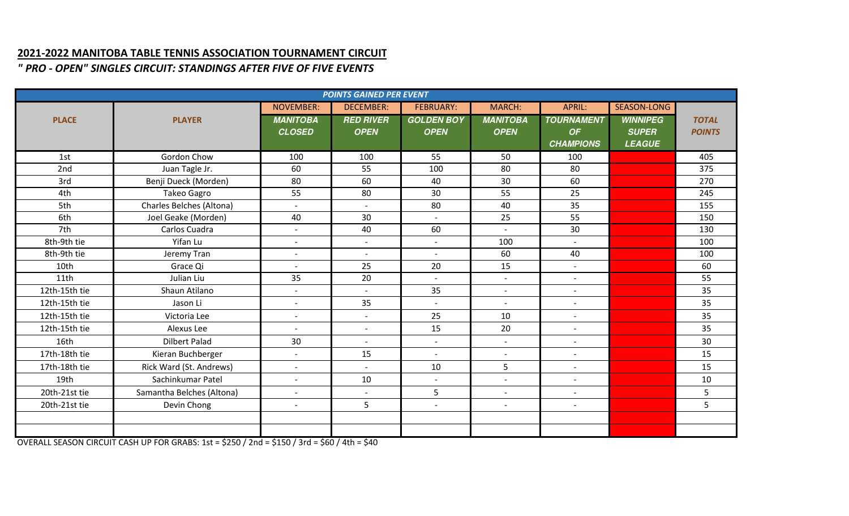## **2021-2022 MANITOBA TABLE TENNIS ASSOCIATION TOURNAMENT CIRCUIT**

*" PRO - OPEN" SINGLES CIRCUIT: STANDINGS AFTER FIVE OF FIVE EVENTS*

| <b>POINTS GAINED PER EVENT</b> |                           |                          |                          |                          |                          |                          |                 |               |
|--------------------------------|---------------------------|--------------------------|--------------------------|--------------------------|--------------------------|--------------------------|-----------------|---------------|
|                                |                           | <b>NOVEMBER:</b>         | <b>DECEMBER:</b>         | <b>FEBRUARY:</b>         | <b>MARCH:</b>            | APRIL:                   | SEASON-LONG     |               |
| <b>PLACE</b>                   | <b>PLAYER</b>             | <b>MANITOBA</b>          | <b>RED RIVER</b>         | <b>GOLDEN BOY</b>        | <b>MANITOBA</b>          | <b>TOURNAMENT</b>        | <b>WINNIPEG</b> | <b>TOTAL</b>  |
|                                |                           | <b>CLOSED</b>            | <b>OPEN</b>              | <b>OPEN</b>              | <b>OPEN</b>              | OF                       | <b>SUPER</b>    | <b>POINTS</b> |
|                                |                           |                          |                          |                          |                          | <b>CHAMPIONS</b>         | <b>LEAGUE</b>   |               |
| 1st                            | Gordon Chow               | 100                      | 100                      | 55                       | 50                       | 100                      |                 | 405           |
| 2nd                            | Juan Tagle Jr.            | 60                       | 55                       | 100                      | 80                       | 80                       |                 | 375           |
| 3rd                            | Benji Dueck (Morden)      | 80                       | 60                       | 40                       | 30                       | 60                       |                 | 270           |
| 4th                            | Takeo Gagro               | 55                       | 80                       | 30                       | 55                       | 25                       |                 | 245           |
| 5th                            | Charles Belches (Altona)  | $\overline{\phantom{a}}$ | $\blacksquare$           | 80                       | 40                       | 35                       |                 | 155           |
| 6th                            | Joel Geake (Morden)       | 40                       | 30                       | $\sim$                   | 25                       | 55                       |                 | 150           |
| 7th                            | Carlos Cuadra             | $\overline{\phantom{a}}$ | 40                       | 60                       | $\overline{\phantom{a}}$ | 30                       |                 | 130           |
| 8th-9th tie                    | Yifan Lu                  | $\blacksquare$           | $\overline{\phantom{a}}$ | $\overline{\phantom{a}}$ | 100                      |                          |                 | 100           |
| 8th-9th tie                    | Jeremy Tran               | $\blacksquare$           | $\overline{\phantom{a}}$ | $\overline{a}$           | 60                       | 40                       |                 | 100           |
| 10th                           | Grace Qi                  | $\overline{\phantom{a}}$ | 25                       | 20                       | 15                       | $\overline{\phantom{a}}$ |                 | 60            |
| 11th                           | Julian Liu                | 35                       | 20                       | $\blacksquare$           | $\overline{\phantom{a}}$ | $\overline{\phantom{a}}$ |                 | 55            |
| 12th-15th tie                  | Shaun Atilano             | $\overline{\phantom{a}}$ | $\overline{\phantom{a}}$ | 35                       |                          | $\overline{\phantom{a}}$ |                 | 35            |
| 12th-15th tie                  | Jason Li                  | $\overline{\phantom{a}}$ | 35                       | $\blacksquare$           | $\overline{\phantom{a}}$ | $\sim$                   |                 | 35            |
| 12th-15th tie                  | Victoria Lee              | $\overline{\phantom{a}}$ | $\overline{\phantom{a}}$ | 25                       | 10                       | $\sim$                   |                 | 35            |
| 12th-15th tie                  | Alexus Lee                | $\sim$                   | $\overline{\phantom{a}}$ | 15                       | 20                       | $\sim$                   |                 | 35            |
| 16th                           | <b>Dilbert Palad</b>      | 30                       | $\overline{\phantom{a}}$ | $\sim$                   | $\overline{\phantom{a}}$ | $\sim$                   |                 | 30            |
| 17th-18th tie                  | Kieran Buchberger         | $\blacksquare$           | 15                       | $\overline{a}$           | $\overline{\phantom{a}}$ | $\sim$                   |                 | 15            |
| 17th-18th tie                  | Rick Ward (St. Andrews)   | $\blacksquare$           | $\sim$                   | 10                       | 5                        | $\sim$                   |                 | 15            |
| 19th                           | Sachinkumar Patel         | $\overline{\phantom{a}}$ | 10                       | $\overline{\phantom{a}}$ | $\overline{a}$           | $\sim$                   |                 | 10            |
| 20th-21st tie                  | Samantha Belches (Altona) | $\sim$                   | $\sim$                   | 5                        | $\sim$                   | $\sim$                   |                 | 5             |
| 20th-21st tie                  | Devin Chong               | $\blacksquare$           | 5                        | $\mathbf{r}$             | $\blacksquare$           | $\sim$                   |                 | 5             |
|                                |                           |                          |                          |                          |                          |                          |                 |               |
|                                |                           |                          |                          |                          |                          |                          |                 |               |

OVERALL SEASON CIRCUIT CASH UP FOR GRABS: 1st = \$250 / 2nd = \$150 / 3rd = \$60 / 4th = \$40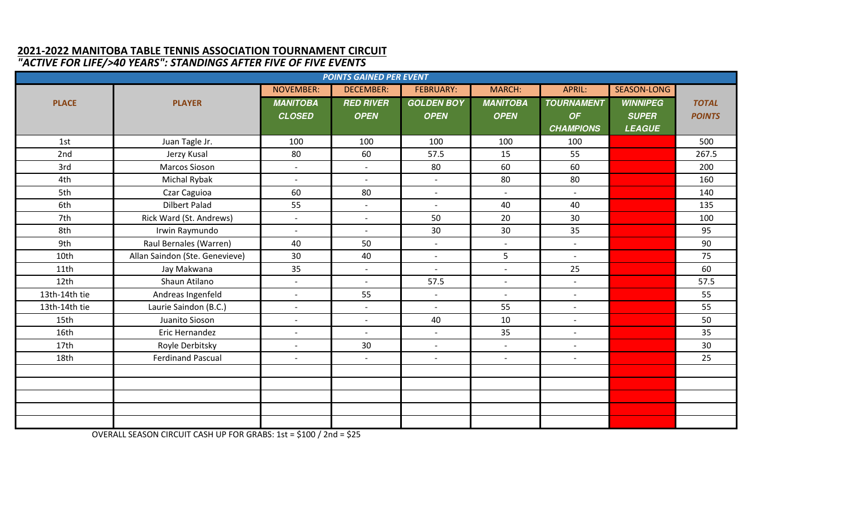## **2021-2022 MANITOBA TABLE TENNIS ASSOCIATION TOURNAMENT CIRCUIT** *"ACTIVE FOR LIFE/>40 YEARS": STANDINGS AFTER FIVE OF FIVE EVENTS*

| <b>POINTS GAINED PER EVENT</b> |                                |                          |                          |                          |                          |                          |                 |               |
|--------------------------------|--------------------------------|--------------------------|--------------------------|--------------------------|--------------------------|--------------------------|-----------------|---------------|
|                                |                                | <b>NOVEMBER:</b>         | <b>DECEMBER:</b>         | <b>FEBRUARY:</b>         | <b>MARCH:</b>            | APRIL:                   | SEASON-LONG     |               |
| <b>PLACE</b>                   | <b>PLAYER</b>                  | <b>MANITOBA</b>          | <b>RED RIVER</b>         | <b>GOLDEN BOY</b>        | <b>MANITOBA</b>          | <b>TOURNAMENT</b>        | <b>WINNIPEG</b> | <b>TOTAL</b>  |
|                                |                                | <b>CLOSED</b>            | <b>OPEN</b>              | <b>OPEN</b>              | <b>OPEN</b>              | OF                       | <b>SUPER</b>    | <b>POINTS</b> |
|                                |                                |                          |                          |                          |                          | <b>CHAMPIONS</b>         | <b>LEAGUE</b>   |               |
| 1st                            | Juan Tagle Jr.                 | 100                      | 100                      | 100                      | 100                      | 100                      |                 | 500           |
| 2nd                            | Jerzy Kusal                    | 80                       | 60                       | 57.5                     | 15                       | 55                       |                 | 267.5         |
| 3rd                            | Marcos Sioson                  | $\overline{\phantom{a}}$ | $\overline{\phantom{a}}$ | 80                       | 60                       | 60                       |                 | 200           |
| 4th                            | Michal Rybak                   | $\overline{\phantom{a}}$ | $\blacksquare$           | $\blacksquare$           | 80                       | 80                       |                 | 160           |
| 5th                            | Czar Caguioa                   | 60                       | 80                       |                          | $\blacksquare$           | $\overline{\phantom{0}}$ |                 | 140           |
| 6th                            | <b>Dilbert Palad</b>           | 55                       | $\overline{\phantom{a}}$ | $\sim$                   | 40                       | 40                       |                 | 135           |
| 7th                            | Rick Ward (St. Andrews)        | $\overline{\phantom{a}}$ | $\sim$                   | 50                       | 20                       | 30                       |                 | 100           |
| 8th                            | Irwin Raymundo                 | $\sim$                   | $\sim$                   | 30                       | 30                       | 35                       |                 | 95            |
| 9th                            | Raul Bernales (Warren)         | 40                       | 50                       | $\blacksquare$           | $\overline{\phantom{a}}$ | $\blacksquare$           |                 | 90            |
| 10th                           | Allan Saindon (Ste. Genevieve) | 30                       | 40                       | $\blacksquare$           | 5                        | $\sim$                   |                 | 75            |
| 11th                           | Jay Makwana                    | 35                       | $\sim$                   | $\overline{a}$           | $\sim$                   | 25                       |                 | 60            |
| 12 <sub>th</sub>               | Shaun Atilano                  | $\sim$                   | $\sim$                   | 57.5                     | $\sim$                   | $\blacksquare$           |                 | 57.5          |
| 13th-14th tie                  | Andreas Ingenfeld              | $\blacksquare$           | 55                       | $\overline{\phantom{a}}$ | $\overline{\phantom{a}}$ | $\overline{\phantom{a}}$ |                 | 55            |
| 13th-14th tie                  | Laurie Saindon (B.C.)          | $\sim$                   | $\overline{\phantom{a}}$ |                          | 55                       | $\sim$                   |                 | 55            |
| 15th                           | Juanito Sioson                 | $\sim$                   | $\overline{a}$           | 40                       | 10                       | $\blacksquare$           |                 | 50            |
| 16th                           | Eric Hernandez                 | $\overline{\phantom{a}}$ | $\overline{\phantom{a}}$ | $\blacksquare$           | 35                       | $\overline{\phantom{0}}$ |                 | 35            |
| 17th                           | Royle Derbitsky                | $\overline{\phantom{a}}$ | 30                       |                          | $\overline{\phantom{a}}$ | $\overline{\phantom{a}}$ |                 | 30            |
| 18th                           | <b>Ferdinand Pascual</b>       | $\blacksquare$           | $\sim$                   | $\blacksquare$           | $\blacksquare$           | $\blacksquare$           |                 | 25            |
|                                |                                |                          |                          |                          |                          |                          |                 |               |
|                                |                                |                          |                          |                          |                          |                          |                 |               |
|                                |                                |                          |                          |                          |                          |                          |                 |               |
|                                |                                |                          |                          |                          |                          |                          |                 |               |
|                                |                                |                          |                          |                          |                          |                          |                 |               |

OVERALL SEASON CIRCUIT CASH UP FOR GRABS: 1st = \$100 / 2nd = \$25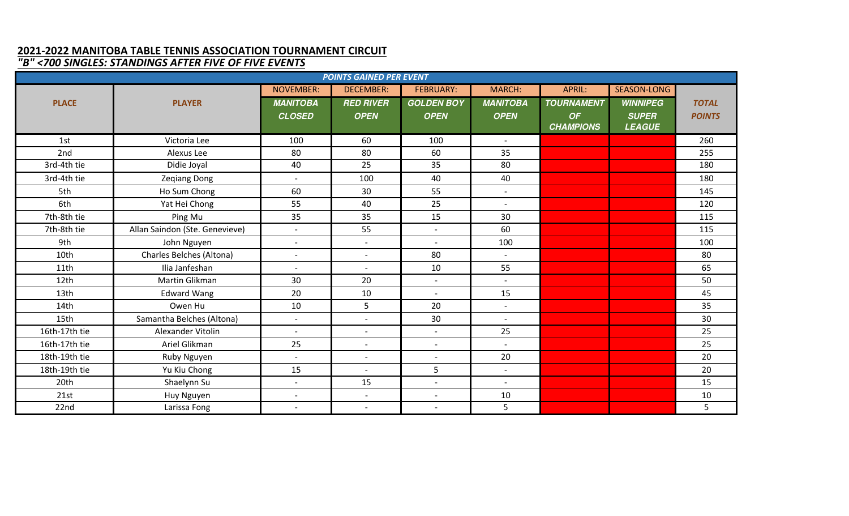## **2021-2022 MANITOBA TABLE TENNIS ASSOCIATION TOURNAMENT CIRCUIT** *"B" <700 SINGLES: STANDINGS AFTER FIVE OF FIVE EVENTS*

| <b>POINTS GAINED PER EVENT</b> |                                |                          |                          |                          |                          |                   |                 |               |
|--------------------------------|--------------------------------|--------------------------|--------------------------|--------------------------|--------------------------|-------------------|-----------------|---------------|
|                                |                                | <b>NOVEMBER:</b>         | <b>DECEMBER:</b>         | <b>FEBRUARY:</b>         | <b>MARCH:</b>            | APRIL:            | SEASON-LONG     |               |
| <b>PLACE</b>                   | <b>PLAYER</b>                  | <b>MANITOBA</b>          | <b>RED RIVER</b>         | <b>GOLDEN BOY</b>        | <b>MANITOBA</b>          | <b>TOURNAMENT</b> | <b>WINNIPEG</b> | <b>TOTAL</b>  |
|                                |                                | <b>CLOSED</b>            | <b>OPEN</b>              | <b>OPEN</b>              | <b>OPEN</b>              | OF                | <b>SUPER</b>    | <b>POINTS</b> |
|                                |                                |                          |                          |                          |                          | <b>CHAMPIONS</b>  | <b>LEAGUE</b>   |               |
| 1st                            | Victoria Lee                   | 100                      | 60                       | 100                      | $\overline{\phantom{a}}$ |                   |                 | 260           |
| 2nd                            | Alexus Lee                     | 80                       | 80                       | 60                       | 35                       |                   |                 | 255           |
| 3rd-4th tie                    | Didie Joyal                    | 40                       | 25                       | 35                       | 80                       |                   |                 | 180           |
| 3rd-4th tie                    | <b>Zeqiang Dong</b>            | $\sim$                   | 100                      | 40                       | 40                       |                   |                 | 180           |
| 5th                            | Ho Sum Chong                   | 60                       | 30                       | 55                       | $\overline{\phantom{a}}$ |                   |                 | 145           |
| 6th                            | Yat Hei Chong                  | 55                       | 40                       | 25                       | $\overline{\phantom{a}}$ |                   |                 | 120           |
| 7th-8th tie                    | Ping Mu                        | 35                       | 35                       | 15                       | 30                       |                   |                 | 115           |
| 7th-8th tie                    | Allan Saindon (Ste. Genevieve) | $\sim$                   | 55                       | $\sim$                   | 60                       |                   |                 | 115           |
| 9th                            | John Nguyen                    | $\overline{\phantom{a}}$ | $\overline{\phantom{a}}$ |                          | 100                      |                   |                 | 100           |
| 10th                           | Charles Belches (Altona)       | $\overline{\phantom{a}}$ | $\sim$                   | 80                       | $\overline{\phantom{a}}$ |                   |                 | 80            |
| 11th                           | Ilia Janfeshan                 | $\overline{\phantom{a}}$ | $\sim$                   | 10                       | 55                       |                   |                 | 65            |
| 12th                           | Martin Glikman                 | 30                       | 20                       | $\sim$                   | $\overline{a}$           |                   |                 | 50            |
| 13 <sub>th</sub>               | <b>Edward Wang</b>             | 20                       | 10                       |                          | 15                       |                   |                 | 45            |
| 14th                           | Owen Hu                        | 10                       | 5                        | 20                       | $\overline{\phantom{a}}$ |                   |                 | 35            |
| 15th                           | Samantha Belches (Altona)      | $\sim$                   | $\blacksquare$           | 30                       | $\overline{a}$           |                   |                 | 30            |
| 16th-17th tie                  | Alexander Vitolin              | $\overline{\phantom{a}}$ | $\overline{\phantom{a}}$ |                          | 25                       |                   |                 | 25            |
| 16th-17th tie                  | Ariel Glikman                  | 25                       | $\overline{\phantom{a}}$ | $\sim$                   | $\overline{\phantom{a}}$ |                   |                 | 25            |
| 18th-19th tie                  | Ruby Nguyen                    | $\blacksquare$           | $\overline{\phantom{a}}$ |                          | 20                       |                   |                 | 20            |
| 18th-19th tie                  | Yu Kiu Chong                   | 15                       | $\overline{\phantom{a}}$ | 5                        | $-$                      |                   |                 | 20            |
| 20th                           | Shaelynn Su                    | $\blacksquare$           | 15                       | $\sim$                   | $\overline{\phantom{a}}$ |                   |                 | 15            |
| 21st                           | Huy Nguyen                     | $\overline{\phantom{a}}$ | $\overline{\phantom{a}}$ | $\overline{\phantom{a}}$ | 10                       |                   |                 | 10            |
| 22nd                           | Larissa Fong                   |                          | $\overline{\phantom{a}}$ |                          | 5                        |                   |                 | 5             |